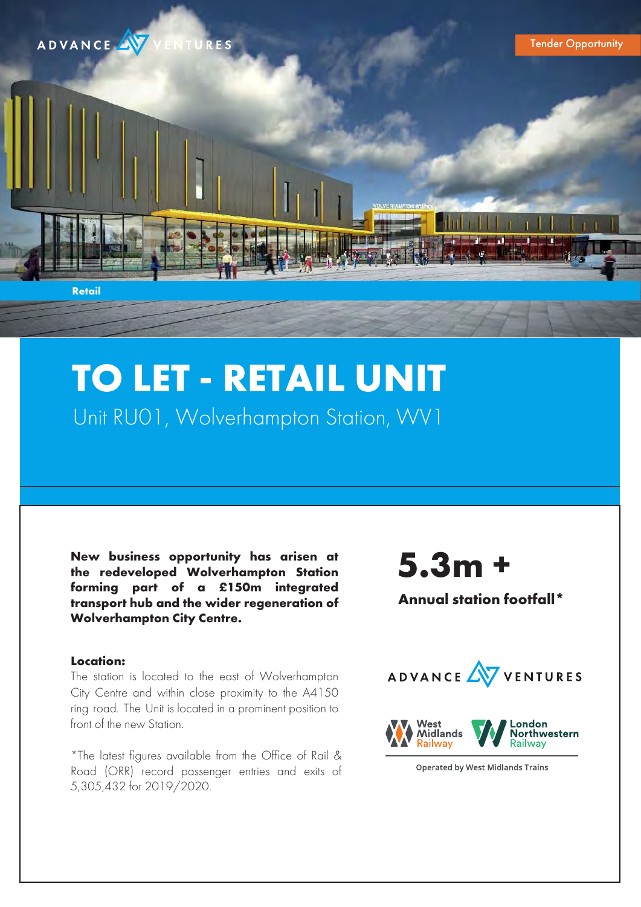

# **TO LET - RETAIL UNIT** Unit RU01, Wolverhampton Station, WV1

**New business opportunity has arisen at the redeveloped Wolverhampton Station forming part of a £150m integrated transport hub and the wider regeneration of Wolverhampton City Centre.**

# **5.3m +**

**Annual station footfall\***

# **Location:**

The station is located to the east of Wolverhampton City Centre and within close proximity to the A4150 ring road. The Unit is located in a prominent position to front of the new Station.

\*The latest figures available from the Office of Rail & Road (ORR) record passenger entries and exits of 5,305,432 for 2019/2020.



**Operated by West Midlands Trains**